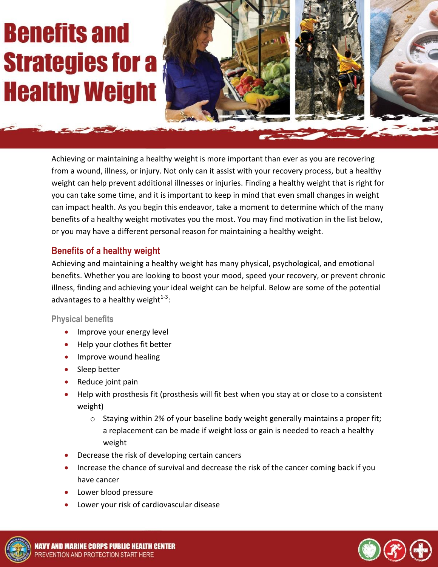# **Benefits and Strategies for a Healthy Weight**



Achieving or maintaining a healthy weight is more important than ever as you are recovering from a wound, illness, or injury. Not only can it assist with your recovery process, but a healthy weight can help prevent additional illnesses or injuries. Finding a healthy weight that is right for you can take some time, and it is important to keep in mind that even small changes in weight can impact health. As you begin this endeavor, take a moment to determine which of the many benefits of a healthy weight motivates you the most. You may find motivation in the list below, or you may have a different personal reason for maintaining a healthy weight.

## **Benefits of a healthy weight**

Achieving and maintaining a healthy weight has many physical, psychological, and emotional benefits. Whether you are looking to boost your mood, speed your recovery, or prevent chronic illness, finding and achieving your ideal weight can be helpful. Below are some of the potential advantages to a healthy weight $^{1\text{-}3}$ :

#### **Physical benefits**

- Improve your energy level
- Help your clothes fit better
- Improve wound healing
- Sleep better
- Reduce joint pain
- Help with prosthesis fit (prosthesis will fit best when you stay at or close to a consistent weight)
	- $\circ$  Staying within 2% of your baseline body weight generally maintains a proper fit; a replacement can be made if weight loss or gain is needed to reach a healthy weight
- Decrease the risk of developing certain cancers
- Increase the chance of survival and decrease the risk of the cancer coming back if you have cancer
- Lower blood pressure
- Lower your risk of cardiovascular disease



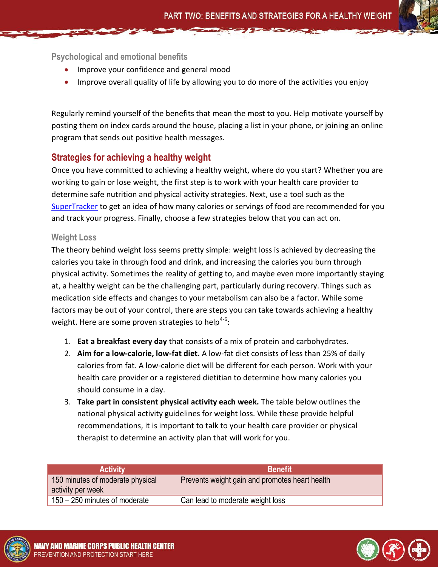**Psychological and emotional benefits**

- Improve your confidence and general mood
- Improve overall quality of life by allowing you to do more of the activities you enjoy

Regularly remind yourself of the benefits that mean the most to you. Help motivate yourself by posting them on index cards around the house, placing a list in your phone, or joining an online program that sends out positive health messages.

## **Strategies for achieving a healthy weight**

Once you have committed to achieving a healthy weight, where do you start? Whether you are working to gain or lose weight, the first step is to work with your health care provider to determine safe nutrition and physical activity strategies. Next, use a tool such as the [SuperTracker](http://www.supertracker.usda.gov/) to get an idea of how many calories or servings of food are recommended for you and track your progress. Finally, choose a few strategies below that you can act on.

#### **Weight Loss**

The theory behind weight loss seems pretty simple: weight loss is achieved by decreasing the calories you take in through food and drink, and increasing the calories you burn through physical activity. Sometimes the reality of getting to, and maybe even more importantly staying at, a healthy weight can be the challenging part, particularly during recovery. Things such as medication side effects and changes to your metabolism can also be a factor. While some factors may be out of your control, there are steps you can take towards achieving a healthy weight. Here are some proven strategies to help<sup>4-6</sup>:

- 1. **Eat a breakfast every day** that consists of a mix of protein and carbohydrates.
- 2. **Aim for a low-calorie, low-fat diet.** A low-fat diet consists of less than 25% of daily calories from fat. A low-calorie diet will be different for each person. Work with your health care provider or a registered dietitian to determine how many calories you should consume in a day.
- 3. **Take part in consistent physical activity each week.** The table below outlines the national physical activity guidelines for weight loss. While these provide helpful recommendations, it is important to talk to your health care provider or physical therapist to determine an activity plan that will work for you.

| <b>Activity</b>                                       | <b>Benefit</b>                                 |
|-------------------------------------------------------|------------------------------------------------|
| 150 minutes of moderate physical<br>activity per week | Prevents weight gain and promotes heart health |
| 150 – 250 minutes of moderate                         | Can lead to moderate weight loss               |



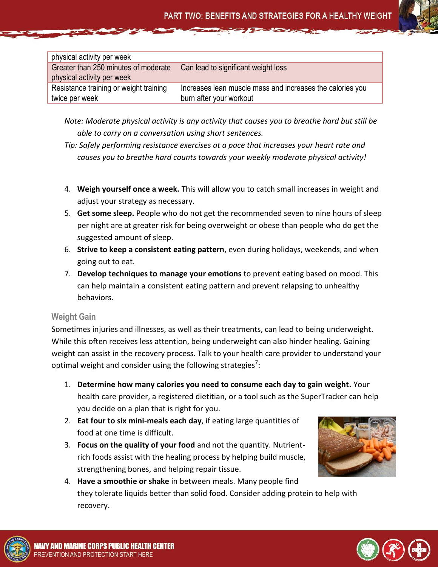| physical activity per week                                         |                                                                                      |
|--------------------------------------------------------------------|--------------------------------------------------------------------------------------|
| Greater than 250 minutes of moderate<br>physical activity per week | Can lead to significant weight loss                                                  |
| Resistance training or weight training<br>twice per week           | Increases lean muscle mass and increases the calories you<br>burn after your workout |

*Note: Moderate physical activity is any activity that causes you to breathe hard but still be able to carry on a conversation using short sentences.*

*Tip: Safely performing resistance exercises at a pace that increases your heart rate and causes you to breathe hard counts towards your weekly moderate physical activity!*

- 4. **Weigh yourself once a week.** This will allow you to catch small increases in weight and adjust your strategy as necessary.
- 5. **Get some sleep.** People who do not get the recommended seven to nine hours of sleep per night are at greater risk for being overweight or obese than people who do get the suggested amount of sleep.
- 6. **Strive to keep a consistent eating pattern**, even during holidays, weekends, and when going out to eat.
- 7. **Develop techniques to manage your emotions** to prevent eating based on mood. This can help maintain a consistent eating pattern and prevent relapsing to unhealthy behaviors.

#### **Weight Gain**

Sometimes injuries and illnesses, as well as their treatments, can lead to being underweight. While this often receives less attention, being underweight can also hinder healing. Gaining weight can assist in the recovery process. Talk to your health care provider to understand your optimal weight and consider using the following strategies<sup>7</sup>:

- 1. **Determine how many calories you need to consume each day to gain weight.** Your health care provider, a registered dietitian, or a tool such as the SuperTracker can help you decide on a plan that is right for you.
- 2. **Eat four to six mini-meals each day**, if eating large quantities of food at one time is difficult.
- 3. **Focus on the quality of your food** and not the quantity. Nutrientrich foods assist with the healing process by helping build muscle, strengthening bones, and helping repair tissue.



4. **Have a smoothie or shake** in between meals. Many people find they tolerate liquids better than solid food. Consider adding protein to help with recovery.



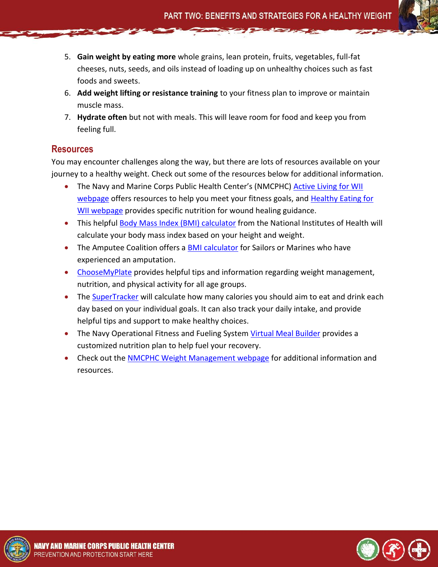- 5. **Gain weight by eating more** whole grains, lean protein, fruits, vegetables, full-fat cheeses, nuts, seeds, and oils instead of loading up on unhealthy choices such as fast foods and sweets.
- 6. **Add weight lifting or resistance training** to your fitness plan to improve or maintain muscle mass.
- 7. **Hydrate often** but not with meals. This will leave room for food and keep you from feeling full.

### **Resources**

You may encounter challenges along the way, but there are lots of resources available on your journey to a healthy weight. Check out some of the resources below for additional information.

- The Navy and Marine Corps Public Health Center's (NMCPHC) Active Living for WII [webpage](http://www.med.navy.mil/sites/nmcphc/health-promotion/Pages/Wii-active-living.aspx) offers resources to help you meet your fitness goals, and [Healthy Eating for](http://www.med.navy.mil/sites/nmcphc/health-promotion/Pages/Wii-healthy-eating.aspx)  [WII webpage](http://www.med.navy.mil/sites/nmcphc/health-promotion/Pages/Wii-healthy-eating.aspx) provides specific nutrition for wound healing guidance.
- This helpful [Body Mass Index \(BMI\)](http://www.nhlbi.nih.gov/health/educational/lose_wt/BMI/bmicalc.htm) calculator from the National Institutes of Health will calculate your body mass index based on your height and weight.
- The Amputee Coalition offers a [BMI calculator](http://www.amputee-coalition.org/limb-loss-resource-center/resources-by-topic/healthy-living/index.html) for Sailors or Marines who have experienced an amputation.
- [ChooseMyPlate](http://www.choosemyplate.gov/) provides helpful tips and information regarding weight management, nutrition, and physical activity for all age groups.
- The [SuperTracker](http://www.supertracker.usda.gov/) will calculate how many calories you should aim to eat and drink each day based on your individual goals. It can also track your daily intake, and provide helpful tips and support to make healthy choices.
- The Navy Operational Fitness and Fueling System [Virtual Meal Builder](http://www.navyfitness.org/fitness/noffs/noffs_1/virtual_meal_builder/) provides a customized nutrition plan to help fuel your recovery.
- Check out the [NMCPHC Weight Management webpage](http://www.med.navy.mil/sites/nmcphc/health-promotion/Pages/weight-management.aspx) for additional information and resources.